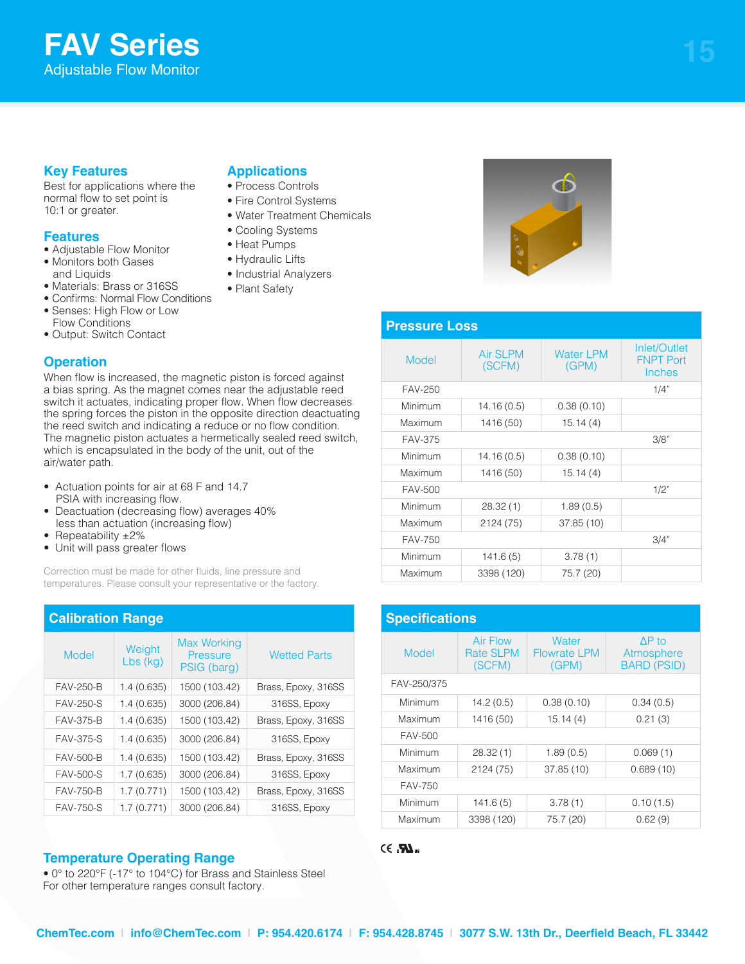# **FAV Series** Adjustable Flow Monitor

# **Key Features**

Best for applications where the normal flow to set point is 10:1 or greater.

### **Features**

- Adjustable Flow Monitor
- Monitors both Gases and Liquids
- Materials: Brass or 316SS
- Confirms: Normal Flow Conditions
- Senses: High Flow or Low Flow Conditions
- Output: Switch Contact

## **Operation**

When flow is increased, the magnetic piston is forced against a bias spring. As the magnet comes near the adjustable reed switch it actuates, indicating proper flow. When flow decreases the spring forces the piston in the opposite direction deactuating the reed switch and indicating a reduce or no flow condition. The magnetic piston actuates a hermetically sealed reed switch, which is encapsulated in the body of the unit, out of the air/water path.

- Actuation points for air at 68 F and 14.7 PSIA with increasing flow.
- Deactuation (decreasing flow) averages 40% less than actuation (increasing flow)
- Repeatability ±2%
- Unit will pass greater flows

Correction must be made for other fluids, line pressure and temperatures. Please consult your representative or the factory.

| <b>Calibration Range</b> |                    |                                               |                     |
|--------------------------|--------------------|-----------------------------------------------|---------------------|
| Model                    | Weight<br>Lbs (kg) | <b>Max Working</b><br>Pressure<br>PSIG (barg) | <b>Wetted Parts</b> |
| <b>FAV-250-B</b>         | 1.4(0.635)         | 1500 (103.42)                                 | Brass, Epoxy, 316SS |
| <b>FAV-250-S</b>         | 1.4(0.635)         | 3000 (206.84)                                 | 316SS, Epoxy        |
| <b>FAV-375-B</b>         | 1.4(0.635)         | 1500 (103.42)                                 | Brass, Epoxy, 316SS |
| <b>FAV-375-S</b>         | 1.4(0.635)         | 3000 (206.84)                                 | 316SS, Epoxy        |
| FAV-500-B                | 1.4(0.635)         | 1500 (103.42)                                 | Brass, Epoxy, 316SS |
| <b>FAV-500-S</b>         | 1.7(0.635)         | 3000 (206.84)                                 | 316SS, Epoxy        |
| <b>FAV-750-B</b>         | 1.7(0.771)         | 1500 (103.42)                                 | Brass, Epoxy, 316SS |
| <b>FAV-750-S</b>         | 1.7(0.771)         | 3000 (206.84)                                 | 316SS, Epoxy        |

## **Temperature Operating Range**

• 0° to 220°F (-17° to 104°C) for Brass and Stainless Steel For other temperature ranges consult factory.

# **Applications**

- Process Controls
- Fire Control Systems
- Water Treatment Chemicals
- Cooling Systems
- Heat Pumps
- Hydraulic Lifts
- Industrial Analyzers
- Plant Safety



## **Pressure Loss**

| Model          | <b>Air SLPM</b><br>(SCFM) | <b>Water LPM</b><br>(GPM) | Inlet/Outlet<br><b>FNPT Port</b><br>Inches |
|----------------|---------------------------|---------------------------|--------------------------------------------|
| FAV-250        |                           |                           | 1/4"                                       |
| Minimum        | 14.16 (0.5)               | 0.38(0.10)                |                                            |
| Maximum        | 1416 (50)                 | 15.14(4)                  |                                            |
| <b>FAV-375</b> |                           |                           | 3/8"                                       |
| Minimum        | 14.16(0.5)                | 0.38(0.10)                |                                            |
| Maximum        | 1416 (50)                 | 15.14(4)                  |                                            |
| FAV-500        |                           |                           | 1/2"                                       |
| Minimum        | 28.32(1)                  | 1.89(0.5)                 |                                            |
| Maximum        | 2124 (75)                 | 37.85 (10)                |                                            |
| FAV-750        |                           |                           | 3/4"                                       |
| Minimum        | 141.6(5)                  | 3.78(1)                   |                                            |
| Maximum        | 3398 (120)                | 75.7 (20)                 |                                            |

| <b>Specifications</b> |                                               |                                       |                                                   |  |
|-----------------------|-----------------------------------------------|---------------------------------------|---------------------------------------------------|--|
| Model                 | <b>Air Flow</b><br><b>Rate SLPM</b><br>(SCFM) | Water<br><b>Flowrate LPM</b><br>(GPM) | $\Delta P$ to<br>Atmosphere<br><b>BARD (PSID)</b> |  |
| FAV-250/375           |                                               |                                       |                                                   |  |
| Minimum               | 14.2(0.5)                                     | 0.38(0.10)                            | 0.34(0.5)                                         |  |
| Maximum               | 1416 (50)                                     | 15.14(4)                              | 0.21(3)                                           |  |
| FAV-500               |                                               |                                       |                                                   |  |
| Minimum               | 28.32(1)                                      | 1.89(0.5)                             | 0.069(1)                                          |  |
| Maximum               | 2124 (75)                                     | 37.85(10)                             | 0.689(10)                                         |  |
| <b>FAV-750</b>        |                                               |                                       |                                                   |  |
| Minimum               | 141.6(5)                                      | 3.78(1)                               | 0.10(1.5)                                         |  |
| Maximum               | 3398 (120)                                    | 75.7 (20)                             | 0.62(9)                                           |  |